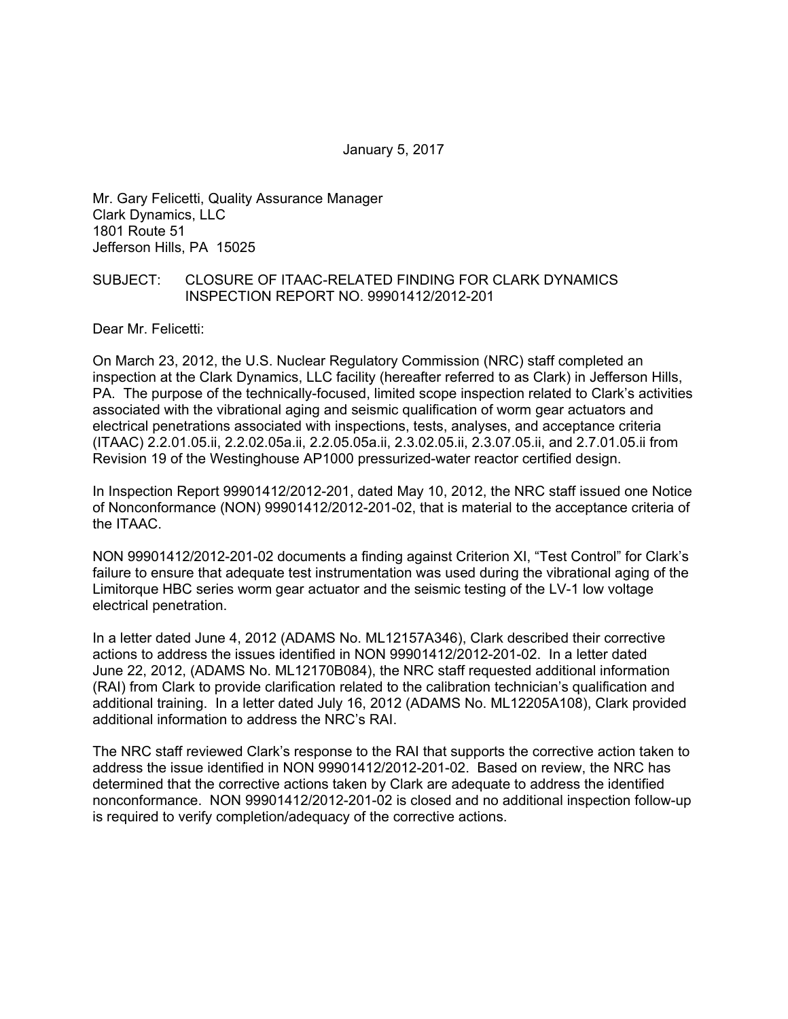January 5, 2017

Mr. Gary Felicetti, Quality Assurance Manager Clark Dynamics, LLC 1801 Route 51 Jefferson Hills, PA 15025

### SUBJECT: CLOSURE OF ITAAC-RELATED FINDING FOR CLARK DYNAMICS INSPECTION REPORT NO. 99901412/2012-201

Dear Mr. Felicetti:

On March 23, 2012, the U.S. Nuclear Regulatory Commission (NRC) staff completed an inspection at the Clark Dynamics, LLC facility (hereafter referred to as Clark) in Jefferson Hills, PA. The purpose of the technically-focused, limited scope inspection related to Clark's activities associated with the vibrational aging and seismic qualification of worm gear actuators and electrical penetrations associated with inspections, tests, analyses, and acceptance criteria (ITAAC) 2.2.01.05.ii, 2.2.02.05a.ii, 2.2.05.05a.ii, 2.3.02.05.ii, 2.3.07.05.ii, and 2.7.01.05.ii from Revision 19 of the Westinghouse AP1000 pressurized-water reactor certified design.

In Inspection Report 99901412/2012-201, dated May 10, 2012, the NRC staff issued one Notice of Nonconformance (NON) 99901412/2012-201-02, that is material to the acceptance criteria of the ITAAC.

NON 99901412/2012-201-02 documents a finding against Criterion XI, "Test Control" for Clark's failure to ensure that adequate test instrumentation was used during the vibrational aging of the Limitorque HBC series worm gear actuator and the seismic testing of the LV-1 low voltage electrical penetration.

In a letter dated June 4, 2012 (ADAMS No. ML12157A346), Clark described their corrective actions to address the issues identified in NON 99901412/2012-201-02. In a letter dated June 22, 2012, (ADAMS No. ML12170B084), the NRC staff requested additional information (RAI) from Clark to provide clarification related to the calibration technician's qualification and additional training. In a letter dated July 16, 2012 (ADAMS No. ML12205A108), Clark provided additional information to address the NRC's RAI.

The NRC staff reviewed Clark's response to the RAI that supports the corrective action taken to address the issue identified in NON 99901412/2012-201-02. Based on review, the NRC has determined that the corrective actions taken by Clark are adequate to address the identified nonconformance. NON 99901412/2012-201-02 is closed and no additional inspection follow-up is required to verify completion/adequacy of the corrective actions.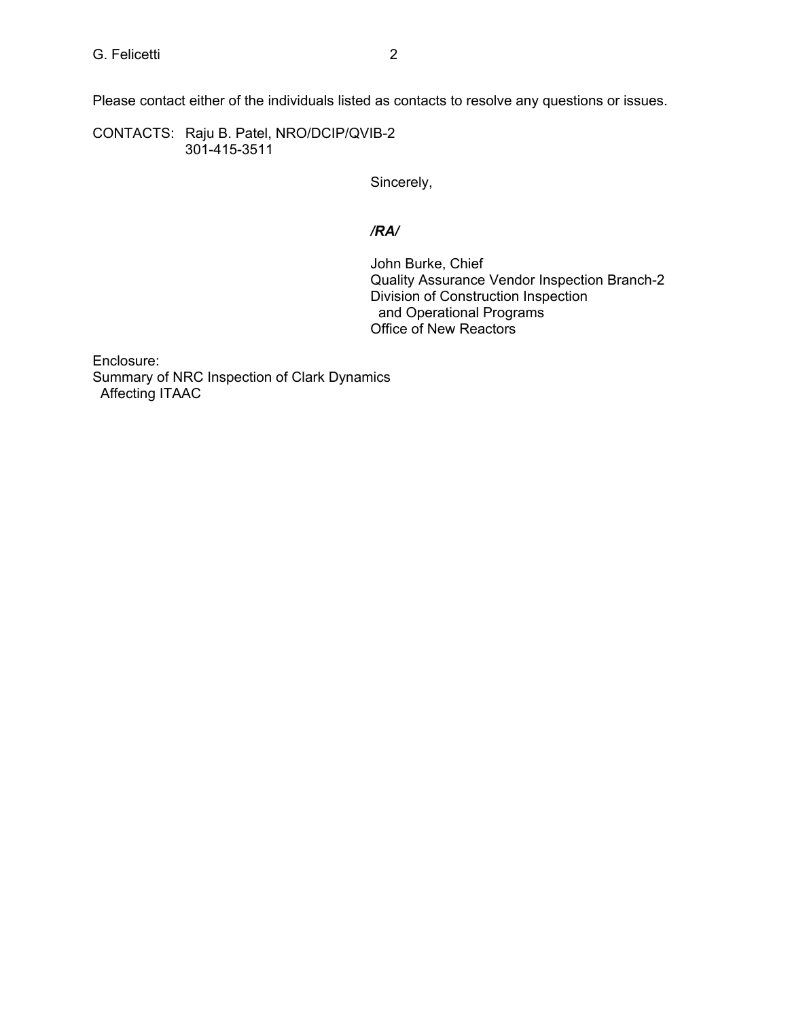Please contact either of the individuals listed as contacts to resolve any questions or issues.

CONTACTS: Raju B. Patel, NRO/DCIP/QVIB-2 301-415-3511

Sincerely,

# */RA/*

John Burke, Chief Quality Assurance Vendor Inspection Branch-2 Division of Construction Inspection and Operational Programs Office of New Reactors

Enclosure: Summary of NRC Inspection of Clark Dynamics Affecting ITAAC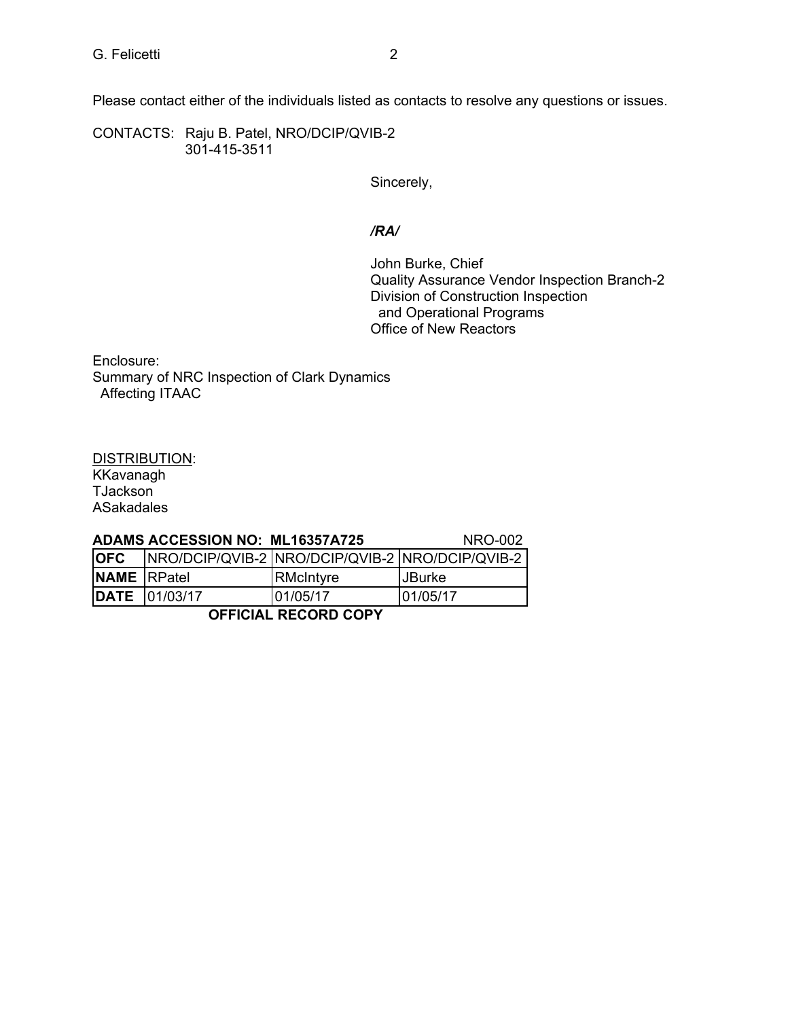Please contact either of the individuals listed as contacts to resolve any questions or issues.

CONTACTS: Raju B. Patel, NRO/DCIP/QVIB-2 301-415-3511

Sincerely,

# */RA/*

John Burke, Chief Quality Assurance Vendor Inspection Branch-2 Division of Construction Inspection and Operational Programs Office of New Reactors

Enclosure: Summary of NRC Inspection of Clark Dynamics Affecting ITAAC

DISTRIBUTION: **KKavanagh** TJackson ASakadales

### **ADAMS ACCESSION NO: ML16357A725** NRO-002

| <b>OFC</b>         | NRO/DCIP/QVIB-2 NRO/DCIP/QVIB-2 NRO/DCIP/QVIB-2 |           |          |
|--------------------|-------------------------------------------------|-----------|----------|
| <b>NAME</b> RPatel |                                                 | RMcIntyre | ∣JBurke  |
|                    | <b>DATE</b> 01/03/17                            | 101/05/17 | 01/05/17 |

**OFFICIAL RECORD COPY**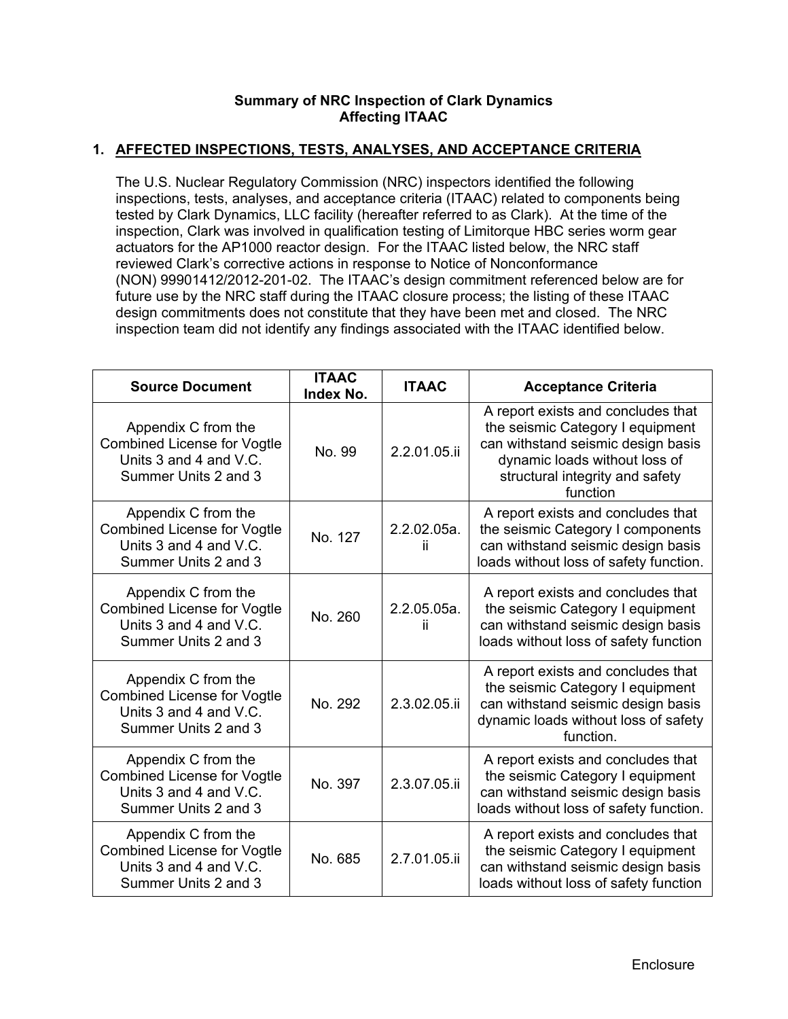### **Summary of NRC Inspection of Clark Dynamics Affecting ITAAC**

## **1. AFFECTED INSPECTIONS, TESTS, ANALYSES, AND ACCEPTANCE CRITERIA**

The U.S. Nuclear Regulatory Commission (NRC) inspectors identified the following inspections, tests, analyses, and acceptance criteria (ITAAC) related to components being tested by Clark Dynamics, LLC facility (hereafter referred to as Clark). At the time of the inspection, Clark was involved in qualification testing of Limitorque HBC series worm gear actuators for the AP1000 reactor design. For the ITAAC listed below, the NRC staff reviewed Clark's corrective actions in response to Notice of Nonconformance (NON) 99901412/2012-201-02. The ITAAC's design commitment referenced below are for future use by the NRC staff during the ITAAC closure process; the listing of these ITAAC design commitments does not constitute that they have been met and closed. The NRC inspection team did not identify any findings associated with the ITAAC identified below.

| <b>Source Document</b>                                                                                      | <b>ITAAC</b><br>Index No. | <b>ITAAC</b>          | <b>Acceptance Criteria</b>                                                                                                                                                                   |  |
|-------------------------------------------------------------------------------------------------------------|---------------------------|-----------------------|----------------------------------------------------------------------------------------------------------------------------------------------------------------------------------------------|--|
| Appendix C from the<br><b>Combined License for Vogtle</b><br>Units 3 and 4 and V.C.<br>Summer Units 2 and 3 | No. 99                    | 2.2.01.05.ii          | A report exists and concludes that<br>the seismic Category I equipment<br>can withstand seismic design basis<br>dynamic loads without loss of<br>structural integrity and safety<br>function |  |
| Appendix C from the<br><b>Combined License for Vogtle</b><br>Units 3 and 4 and V.C.<br>Summer Units 2 and 3 | No. 127                   | 2.2.02.05a.<br>ii.    | A report exists and concludes that<br>the seismic Category I components<br>can withstand seismic design basis<br>loads without loss of safety function.                                      |  |
| Appendix C from the<br><b>Combined License for Vogtle</b><br>Units 3 and 4 and V.C.<br>Summer Units 2 and 3 | No. 260                   | $2.2.05.05a$ .<br>ii. | A report exists and concludes that<br>the seismic Category I equipment<br>can withstand seismic design basis<br>loads without loss of safety function                                        |  |
| Appendix C from the<br><b>Combined License for Vogtle</b><br>Units 3 and 4 and V.C.<br>Summer Units 2 and 3 | No. 292                   | 2.3.02.05.ii          | A report exists and concludes that<br>the seismic Category I equipment<br>can withstand seismic design basis<br>dynamic loads without loss of safety<br>function.                            |  |
| Appendix C from the<br><b>Combined License for Vogtle</b><br>Units 3 and 4 and V.C.<br>Summer Units 2 and 3 | No. 397                   | 2.3.07.05.ii          | A report exists and concludes that<br>the seismic Category I equipment<br>can withstand seismic design basis<br>loads without loss of safety function.                                       |  |
| Appendix C from the<br><b>Combined License for Vogtle</b><br>Units 3 and 4 and V.C.<br>Summer Units 2 and 3 | No. 685                   | 2.7.01.05.ii          | A report exists and concludes that<br>the seismic Category I equipment<br>can withstand seismic design basis<br>loads without loss of safety function                                        |  |